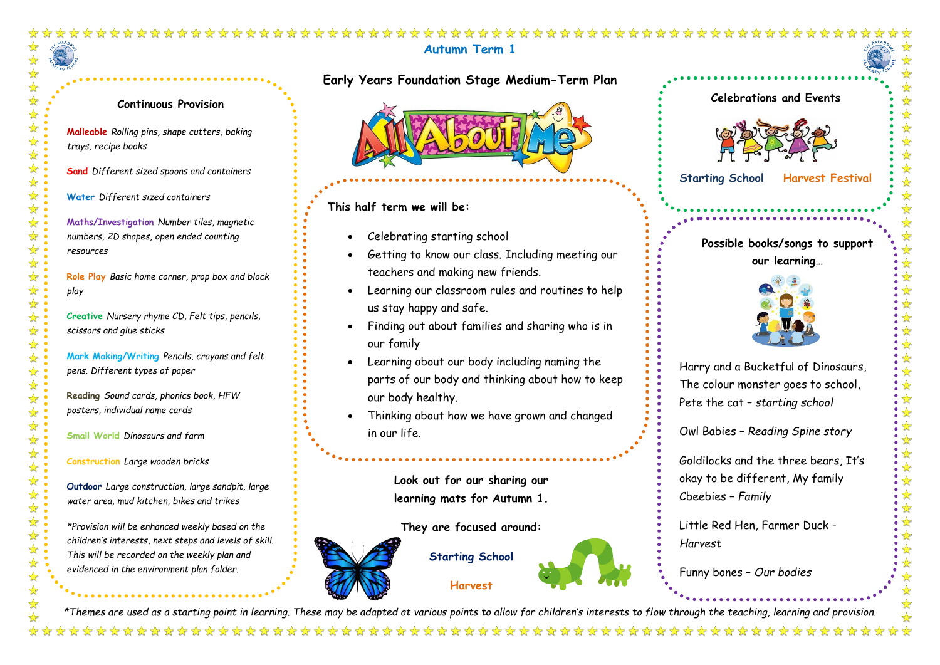## **Autumn Term 1**

## ☆ ☆ ☆  $\bigstar$ ☆: ☆ ☆  $\frac{1}{2}$ ☆:  $\frac{1}{\sqrt{2}}$  $\frac{1}{2}$  $\frac{1}{\sqrt{2}}$  $\frac{1}{2}$  $\frac{1}{\sqrt{2}}$  $\blacktriangleright$ 冷冷  $\frac{1}{\sqrt{2}}$ ☆

## **Continuous Provision**

**Malleable** *Rolling pins, shape cutters, baking trays, recipe books*

**Sand** *Different sized spoons and containers*

**Water** *Different sized containers*

**Maths/Investigation** *Number tiles, magnetic numbers, 2D shapes, open ended counting resources*

**Role Play** *Basic home corner, prop box and block play*

**Creative** *Nursery rhyme CD, Felt tips, pencils, scissors and glue sticks* 

**Mark Making/Writing** *Pencils, crayons and felt pens. Different types of paper*

**Reading** *Sound cards, phonics book, HFW posters, individual name cards* 

**Small World** *Dinosaurs and farm* 

**Construction** *Large wooden bricks*

**Outdoor** *Large construction, large sandpit, large water area, mud kitchen, bikes and trikes* 

*\*Provision will be enhanced weekly based on the children's interests, next steps and levels of skill. This will be recorded on the weekly plan and evidenced in the environment plan folder.* 

**Early Years Foundation Stage Medium-Term Plan**

**This half term we will be:** 

- Celebrating starting school
- Getting to know our class. Including meeting our teachers and making new friends.
- Learning our classroom rules and routines to help us stay happy and safe.
- Finding out about families and sharing who is in our family
- Learning about our body including naming the parts of our body and thinking about how to keep our body healthy.
- Thinking about how we have grown and changed in our life.

**Look out for our sharing our learning mats for Autumn 1.**

**They are focused around:**



**Starting School**







i,

**Starting School Harvest Festival**

**Possible books/songs to support our learning…** 



Harry and a Bucketful of Dinosaurs, The colour monster goes to school, Pete the cat – *starting school*

Owl Babies – *Reading Spine story*

Goldilocks and the three bears, It's okay to be different, My family Cbeebies – *Family*

 $\frac{\lambda}{\lambda}$ 

Little Red Hen, Farmer Duck - *Harvest*

Funny bones – *Our bodies* 

*\*Themes are used as a starting point in learning. These may be adapted at various points to allow for children's interests to flow through the teaching, learning and provision.*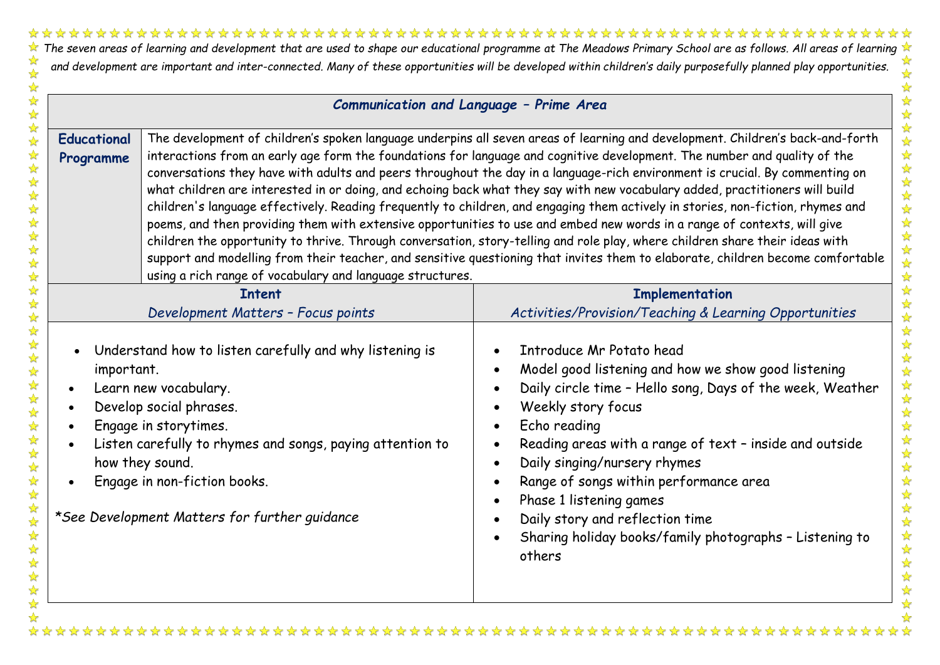**The seven areas of learning and development that are used to shape our educational programme at The Meadows Primary School are as follows. All areas of learning**  $\star$ 22222 and development are important and inter-connected. Many of these opportunities will be developed within children's daily purposefully planned play opportunities.  $\frac{1}{\sqrt{2}}$ 

 $\frac{1}{2}$ ☆  $\frac{1}{\sqrt{2}}$ 

公外外外

冷冷

冷冷

冷冷

路路  $\rightarrow$  $\frac{\lambda}{\lambda}$  $\frac{1}{\sqrt{2}}$  $\frac{1}{M}$  $\frac{1}{\mathbf{k}}$  $\frac{1}{\sqrt{2}}$  $\frac{1}{2}$  $\frac{1}{\mathcal{N}}$  $\frac{1}{\sqrt{2}}$ 冷冷

冷冷  $\frac{1}{2}$  $\frac{1}{M}$ ☆ ☆  $\frac{1}{2}$ 

5555

 $\frac{1}{\sqrt{2}}$  $\frac{1}{\sqrt{2}}$ 

| Communication and Language - Prime Area                                                                                                                                                                                                                                                                                                       |                                                                                                                                                                                                                                                                                                                                                                                                                                                                                                                                                                                                                                                                                                                                                                                                                                                                                                                                                                                                                                                               |  |
|-----------------------------------------------------------------------------------------------------------------------------------------------------------------------------------------------------------------------------------------------------------------------------------------------------------------------------------------------|---------------------------------------------------------------------------------------------------------------------------------------------------------------------------------------------------------------------------------------------------------------------------------------------------------------------------------------------------------------------------------------------------------------------------------------------------------------------------------------------------------------------------------------------------------------------------------------------------------------------------------------------------------------------------------------------------------------------------------------------------------------------------------------------------------------------------------------------------------------------------------------------------------------------------------------------------------------------------------------------------------------------------------------------------------------|--|
| <b>Educational</b><br>Programme<br>using a rich range of vocabulary and language structures.                                                                                                                                                                                                                                                  | The development of children's spoken language underpins all seven areas of learning and development. Children's back-and-forth<br>interactions from an early age form the foundations for language and cognitive development. The number and quality of the<br>conversations they have with adults and peers throughout the day in a language-rich environment is crucial. By commenting on<br>what children are interested in or doing, and echoing back what they say with new vocabulary added, practitioners will build<br>children's language effectively. Reading frequently to children, and engaging them actively in stories, non-fiction, rhymes and<br>poems, and then providing them with extensive opportunities to use and embed new words in a range of contexts, will give<br>children the opportunity to thrive. Through conversation, story-telling and role play, where children share their ideas with<br>support and modelling from their teacher, and sensitive questioning that invites them to elaborate, children become comfortable |  |
| <b>Intent</b><br>Development Matters - Focus points                                                                                                                                                                                                                                                                                           | <b>Implementation</b><br>Activities/Provision/Teaching & Learning Opportunities                                                                                                                                                                                                                                                                                                                                                                                                                                                                                                                                                                                                                                                                                                                                                                                                                                                                                                                                                                               |  |
| Understand how to listen carefully and why listening is<br>important.<br>Learn new vocabulary.<br>Develop social phrases.<br>$\bullet$<br>Engage in storytimes.<br>$\bullet$<br>Listen carefully to rhymes and songs, paying attention to<br>how they sound.<br>Engage in non-fiction books.<br>*See Development Matters for further guidance | Introduce Mr Potato head<br>Model good listening and how we show good listening<br>Daily circle time - Hello song, Days of the week, Weather<br>Weekly story focus<br>Echo reading<br>Reading areas with a range of text - inside and outside<br>Daily singing/nursery rhymes<br>Range of songs within performance area<br>Phase 1 listening games<br>Daily story and reflection time<br>Sharing holiday books/family photographs - Listening to<br>others                                                                                                                                                                                                                                                                                                                                                                                                                                                                                                                                                                                                    |  |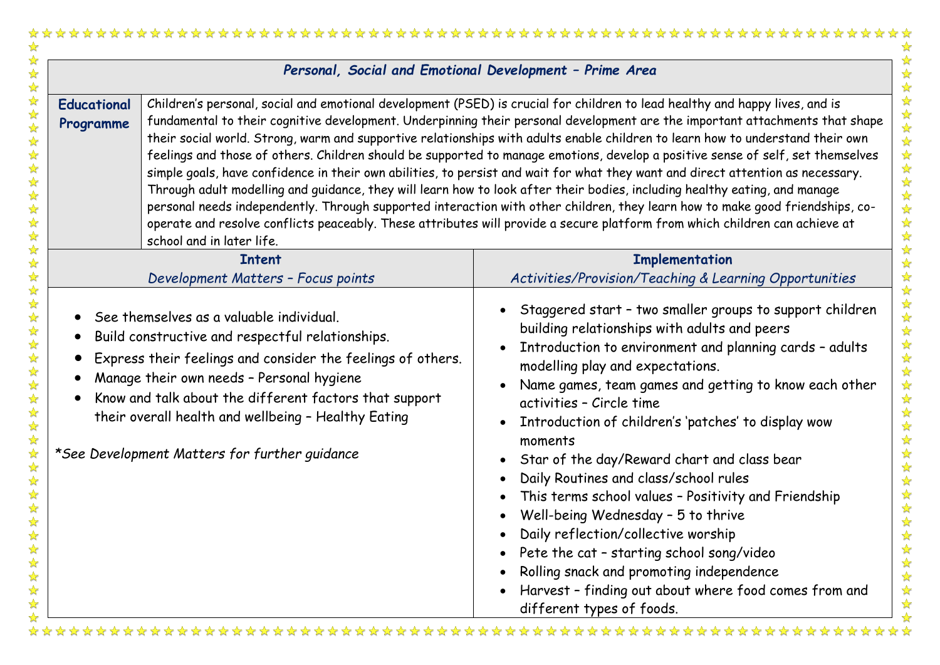|                                 |                                                                                                                                                                                                                                                                                                                                                                            | Personal, Social and Emotional Development - Prime Area                                                                                                                                                                                                                                                                                                                                                                                                                                                                                                                                                                                                                                                                                                                                                                                                                                                                                                                                                                                                            |
|---------------------------------|----------------------------------------------------------------------------------------------------------------------------------------------------------------------------------------------------------------------------------------------------------------------------------------------------------------------------------------------------------------------------|--------------------------------------------------------------------------------------------------------------------------------------------------------------------------------------------------------------------------------------------------------------------------------------------------------------------------------------------------------------------------------------------------------------------------------------------------------------------------------------------------------------------------------------------------------------------------------------------------------------------------------------------------------------------------------------------------------------------------------------------------------------------------------------------------------------------------------------------------------------------------------------------------------------------------------------------------------------------------------------------------------------------------------------------------------------------|
| <b>Educational</b><br>Programme | school and in later life.                                                                                                                                                                                                                                                                                                                                                  | Children's personal, social and emotional development (PSED) is crucial for children to lead healthy and happy lives, and is<br>fundamental to their cognitive development. Underpinning their personal development are the important attachments that shape<br>their social world. Strong, warm and supportive relationships with adults enable children to learn how to understand their own<br>feelings and those of others. Children should be supported to manage emotions, develop a positive sense of self, set themselves<br>simple goals, have confidence in their own abilities, to persist and wait for what they want and direct attention as necessary.<br>Through adult modelling and guidance, they will learn how to look after their bodies, including healthy eating, and manage<br>personal needs independently. Through supported interaction with other children, they learn how to make good friendships, co-<br>operate and resolve conflicts peaceably. These attributes will provide a secure platform from which children can achieve at |
|                                 | <b>Intent</b>                                                                                                                                                                                                                                                                                                                                                              | <b>Implementation</b>                                                                                                                                                                                                                                                                                                                                                                                                                                                                                                                                                                                                                                                                                                                                                                                                                                                                                                                                                                                                                                              |
|                                 | Development Matters - Focus points                                                                                                                                                                                                                                                                                                                                         | Activities/Provision/Teaching & Learning Opportunities                                                                                                                                                                                                                                                                                                                                                                                                                                                                                                                                                                                                                                                                                                                                                                                                                                                                                                                                                                                                             |
|                                 | See themselves as a valuable individual.<br>Build constructive and respectful relationships.<br>Express their feelings and consider the feelings of others.<br>Manage their own needs - Personal hygiene<br>Know and talk about the different factors that support<br>their overall health and wellbeing - Healthy Eating<br>*See Development Matters for further guidance | Staggered start - two smaller groups to support children<br>building relationships with adults and peers<br>Introduction to environment and planning cards - adults<br>modelling play and expectations.<br>Name games, team games and getting to know each other<br>activities - Circle time<br>Introduction of children's 'patches' to display wow<br>moments<br>Star of the day/Reward chart and class bear<br>Daily Routines and class/school rules<br>This terms school values - Positivity and Friendship<br>Well-being Wednesday - 5 to thrive<br>Daily reflection/collective worship<br>Pete the cat - starting school song/video<br>Rolling snack and promoting independence<br>Harvest - finding out about where food comes from and<br>different types of foods.                                                                                                                                                                                                                                                                                         |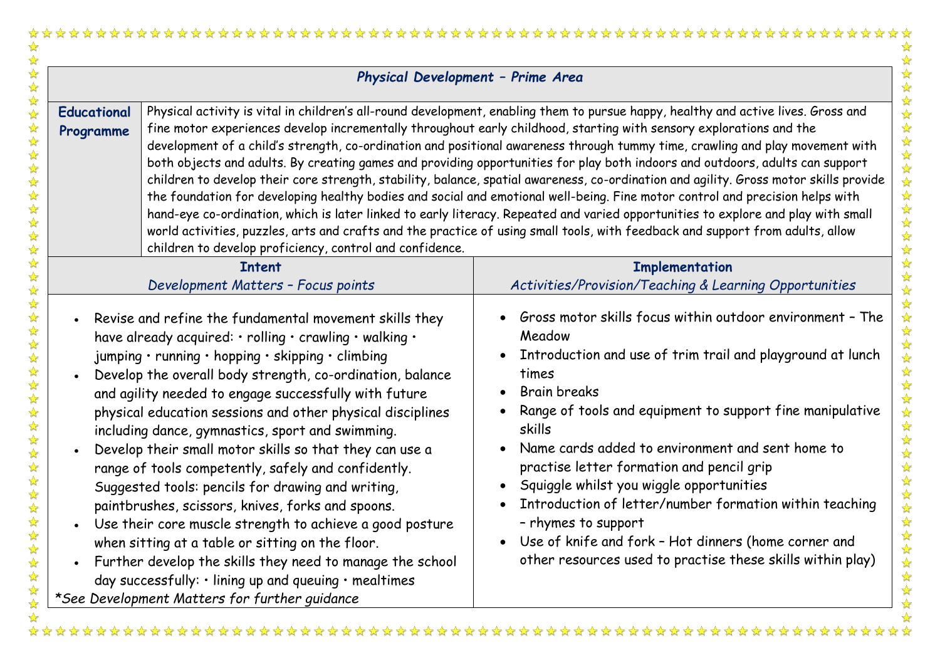|                                 | Physical Development - Prime Area                                                                                                                                                                                                                                                                                                                                                                                                                                                                                                                                                                                                                                                                                                                                                                                                                                                                                                                                     |                                                                                                                                                                                                                                                                                                                                                                                                                                                                                                                                                                                                                                                                                                                                                                                                                                                                                                                                                                                                                                                                              |
|---------------------------------|-----------------------------------------------------------------------------------------------------------------------------------------------------------------------------------------------------------------------------------------------------------------------------------------------------------------------------------------------------------------------------------------------------------------------------------------------------------------------------------------------------------------------------------------------------------------------------------------------------------------------------------------------------------------------------------------------------------------------------------------------------------------------------------------------------------------------------------------------------------------------------------------------------------------------------------------------------------------------|------------------------------------------------------------------------------------------------------------------------------------------------------------------------------------------------------------------------------------------------------------------------------------------------------------------------------------------------------------------------------------------------------------------------------------------------------------------------------------------------------------------------------------------------------------------------------------------------------------------------------------------------------------------------------------------------------------------------------------------------------------------------------------------------------------------------------------------------------------------------------------------------------------------------------------------------------------------------------------------------------------------------------------------------------------------------------|
| <b>Educational</b><br>Programme | children to develop proficiency, control and confidence.                                                                                                                                                                                                                                                                                                                                                                                                                                                                                                                                                                                                                                                                                                                                                                                                                                                                                                              | Physical activity is vital in children's all-round development, enabling them to pursue happy, healthy and active lives. Gross and<br>fine motor experiences develop incrementally throughout early childhood, starting with sensory explorations and the<br>development of a child's strength, co-ordination and positional awareness through tummy time, crawling and play movement with<br>both objects and adults. By creating games and providing opportunities for play both indoors and outdoors, adults can support<br>children to develop their core strength, stability, balance, spatial awareness, co-ordination and agility. Gross motor skills provide<br>the foundation for developing healthy bodies and social and emotional well-being. Fine motor control and precision helps with<br>hand-eye co-ordination, which is later linked to early literacy. Repeated and varied opportunities to explore and play with small<br>world activities, puzzles, arts and crafts and the practice of using small tools, with feedback and support from adults, allow |
|                                 | <b>Intent</b>                                                                                                                                                                                                                                                                                                                                                                                                                                                                                                                                                                                                                                                                                                                                                                                                                                                                                                                                                         | <b>Implementation</b>                                                                                                                                                                                                                                                                                                                                                                                                                                                                                                                                                                                                                                                                                                                                                                                                                                                                                                                                                                                                                                                        |
|                                 | Development Matters - Focus points                                                                                                                                                                                                                                                                                                                                                                                                                                                                                                                                                                                                                                                                                                                                                                                                                                                                                                                                    | Activities/Provision/Teaching & Learning Opportunities                                                                                                                                                                                                                                                                                                                                                                                                                                                                                                                                                                                                                                                                                                                                                                                                                                                                                                                                                                                                                       |
|                                 | Revise and refine the fundamental movement skills they<br>have already acquired: $\cdot$ rolling $\cdot$ crawling $\cdot$ walking $\cdot$<br>jumping · running · hopping · skipping · climbing<br>Develop the overall body strength, co-ordination, balance<br>and agility needed to engage successfully with future<br>physical education sessions and other physical disciplines<br>including dance, gymnastics, sport and swimming.<br>Develop their small motor skills so that they can use a<br>range of tools competently, safely and confidently.<br>Suggested tools: pencils for drawing and writing,<br>paintbrushes, scissors, knives, forks and spoons.<br>Use their core muscle strength to achieve a good posture<br>when sitting at a table or sitting on the floor.<br>Further develop the skills they need to manage the school<br>day successfully: $\cdot$ lining up and queuing $\cdot$ mealtimes<br>*See Development Matters for further guidance | Gross motor skills focus within outdoor environment - The<br>Meadow<br>Introduction and use of trim trail and playground at lunch<br>times<br><b>Brain breaks</b><br>Range of tools and equipment to support fine manipulative<br>skills<br>Name cards added to environment and sent home to<br>$\bullet$<br>practise letter formation and pencil grip<br>Squiggle whilst you wiggle opportunities<br>Introduction of letter/number formation within teaching<br>rhymes to support .<br>Use of knife and fork - Hot dinners (home corner and<br>other resources used to practise these skills within play)                                                                                                                                                                                                                                                                                                                                                                                                                                                                   |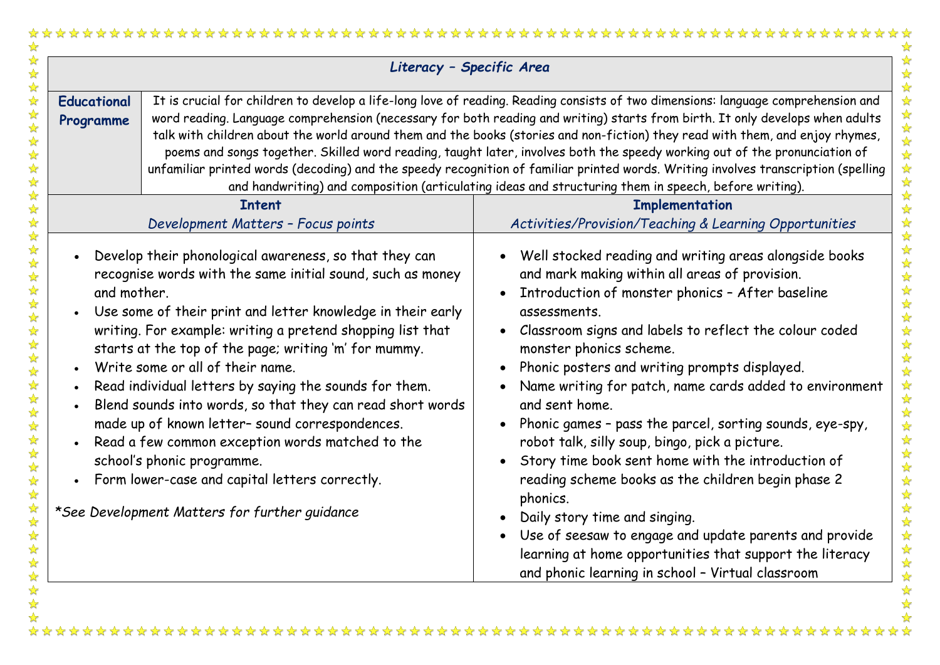| Literacy - Specific Area        |                                                                                                                                                                                                                                                                                                                                                                                                                                                                                                                                                                                                                                                                                                                |                                                                                                                                                                                                                                                                                                                                                                                                                                                                                                                                                                                                                                                                                                                                                                                                                                                   |
|---------------------------------|----------------------------------------------------------------------------------------------------------------------------------------------------------------------------------------------------------------------------------------------------------------------------------------------------------------------------------------------------------------------------------------------------------------------------------------------------------------------------------------------------------------------------------------------------------------------------------------------------------------------------------------------------------------------------------------------------------------|---------------------------------------------------------------------------------------------------------------------------------------------------------------------------------------------------------------------------------------------------------------------------------------------------------------------------------------------------------------------------------------------------------------------------------------------------------------------------------------------------------------------------------------------------------------------------------------------------------------------------------------------------------------------------------------------------------------------------------------------------------------------------------------------------------------------------------------------------|
| <b>Educational</b><br>Programme |                                                                                                                                                                                                                                                                                                                                                                                                                                                                                                                                                                                                                                                                                                                | It is crucial for children to develop a life-long love of reading. Reading consists of two dimensions: language comprehension and<br>word reading. Language comprehension (necessary for both reading and writing) starts from birth. It only develops when adults<br>talk with children about the world around them and the books (stories and non-fiction) they read with them, and enjoy rhymes,<br>poems and songs together. Skilled word reading, taught later, involves both the speedy working out of the pronunciation of<br>unfamiliar printed words (decoding) and the speedy recognition of familiar printed words. Writing involves transcription (spelling<br>and handwriting) and composition (articulating ideas and structuring them in speech, before writing).                                                                  |
|                                 | <b>Intent</b>                                                                                                                                                                                                                                                                                                                                                                                                                                                                                                                                                                                                                                                                                                  | <b>Implementation</b>                                                                                                                                                                                                                                                                                                                                                                                                                                                                                                                                                                                                                                                                                                                                                                                                                             |
|                                 | Development Matters - Focus points                                                                                                                                                                                                                                                                                                                                                                                                                                                                                                                                                                                                                                                                             | Activities/Provision/Teaching & Learning Opportunities                                                                                                                                                                                                                                                                                                                                                                                                                                                                                                                                                                                                                                                                                                                                                                                            |
| $\bullet$<br>and mother.        | Develop their phonological awareness, so that they can<br>recognise words with the same initial sound, such as money<br>Use some of their print and letter knowledge in their early<br>writing. For example: writing a pretend shopping list that<br>starts at the top of the page; writing 'm' for mummy.<br>Write some or all of their name.<br>Read individual letters by saying the sounds for them.<br>Blend sounds into words, so that they can read short words<br>made up of known letter- sound correspondences.<br>Read a few common exception words matched to the<br>school's phonic programme.<br>Form lower-case and capital letters correctly.<br>*See Development Matters for further guidance | Well stocked reading and writing areas alongside books<br>and mark making within all areas of provision.<br>Introduction of monster phonics - After baseline<br>assessments.<br>Classroom signs and labels to reflect the colour coded<br>monster phonics scheme.<br>Phonic posters and writing prompts displayed.<br>Name writing for patch, name cards added to environment<br>and sent home.<br>Phonic games - pass the parcel, sorting sounds, eye-spy,<br>robot talk, silly soup, bingo, pick a picture.<br>Story time book sent home with the introduction of<br>reading scheme books as the children begin phase 2<br>phonics.<br>Daily story time and singing.<br>Use of seesaw to engage and update parents and provide<br>learning at home opportunities that support the literacy<br>and phonic learning in school - Virtual classroom |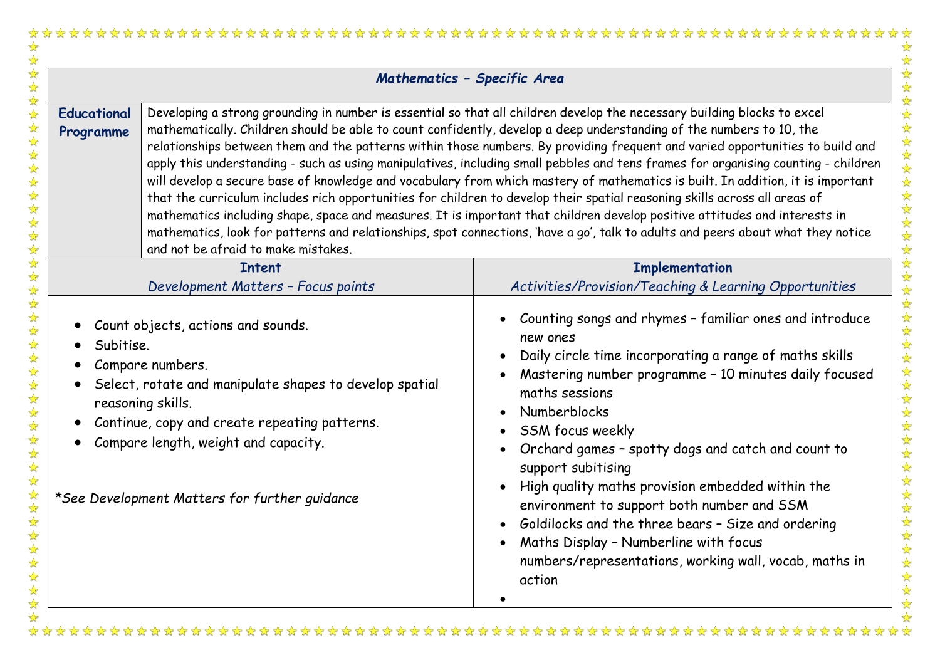|                                                  |                                                                                                                                                                                                                                                                                                                                                                                                                                                                                                                                                                                                                                                                                                                                                                                                                                                                                                                                                                                                                                                                                                   | Mathematics - Specific Area                                                                                                                                                                                                                                                                                                                                                                                                                                                                                                                                                                                                             |
|--------------------------------------------------|---------------------------------------------------------------------------------------------------------------------------------------------------------------------------------------------------------------------------------------------------------------------------------------------------------------------------------------------------------------------------------------------------------------------------------------------------------------------------------------------------------------------------------------------------------------------------------------------------------------------------------------------------------------------------------------------------------------------------------------------------------------------------------------------------------------------------------------------------------------------------------------------------------------------------------------------------------------------------------------------------------------------------------------------------------------------------------------------------|-----------------------------------------------------------------------------------------------------------------------------------------------------------------------------------------------------------------------------------------------------------------------------------------------------------------------------------------------------------------------------------------------------------------------------------------------------------------------------------------------------------------------------------------------------------------------------------------------------------------------------------------|
| <b>Educational</b><br>Programme                  | Developing a strong grounding in number is essential so that all children develop the necessary building blocks to excel<br>mathematically. Children should be able to count confidently, develop a deep understanding of the numbers to 10, the<br>relationships between them and the patterns within those numbers. By providing frequent and varied opportunities to build and<br>apply this understanding - such as using manipulatives, including small pebbles and tens frames for organising counting - children<br>will develop a secure base of knowledge and vocabulary from which mastery of mathematics is built. In addition, it is important<br>that the curriculum includes rich opportunities for children to develop their spatial reasoning skills across all areas of<br>mathematics including shape, space and measures. It is important that children develop positive attitudes and interests in<br>mathematics, look for patterns and relationships, spot connections, 'have a go', talk to adults and peers about what they notice<br>and not be afraid to make mistakes. |                                                                                                                                                                                                                                                                                                                                                                                                                                                                                                                                                                                                                                         |
|                                                  | <b>Intent</b>                                                                                                                                                                                                                                                                                                                                                                                                                                                                                                                                                                                                                                                                                                                                                                                                                                                                                                                                                                                                                                                                                     | <b>Implementation</b>                                                                                                                                                                                                                                                                                                                                                                                                                                                                                                                                                                                                                   |
|                                                  | Development Matters - Focus points                                                                                                                                                                                                                                                                                                                                                                                                                                                                                                                                                                                                                                                                                                                                                                                                                                                                                                                                                                                                                                                                | Activities/Provision/Teaching & Learning Opportunities                                                                                                                                                                                                                                                                                                                                                                                                                                                                                                                                                                                  |
| $\bullet$<br>Subitise.<br>$\bullet$<br>$\bullet$ | Count objects, actions and sounds.<br>Compare numbers.<br>Select, rotate and manipulate shapes to develop spatial<br>reasoning skills.<br>Continue, copy and create repeating patterns.<br>Compare length, weight and capacity.<br>*See Development Matters for further guidance                                                                                                                                                                                                                                                                                                                                                                                                                                                                                                                                                                                                                                                                                                                                                                                                                  | Counting songs and rhymes - familiar ones and introduce<br>new ones<br>Daily circle time incorporating a range of maths skills<br>$\bullet$<br>Mastering number programme - 10 minutes daily focused<br>maths sessions<br>Numberblocks<br>SSM focus weekly<br>Orchard games - spotty dogs and catch and count to<br>$\bullet$<br>support subitising<br>High quality maths provision embedded within the<br>environment to support both number and SSM<br>• Goldilocks and the three bears - Size and ordering<br>Maths Display - Numberline with focus<br>$\bullet$<br>numbers/representations, working wall, vocab, maths in<br>action |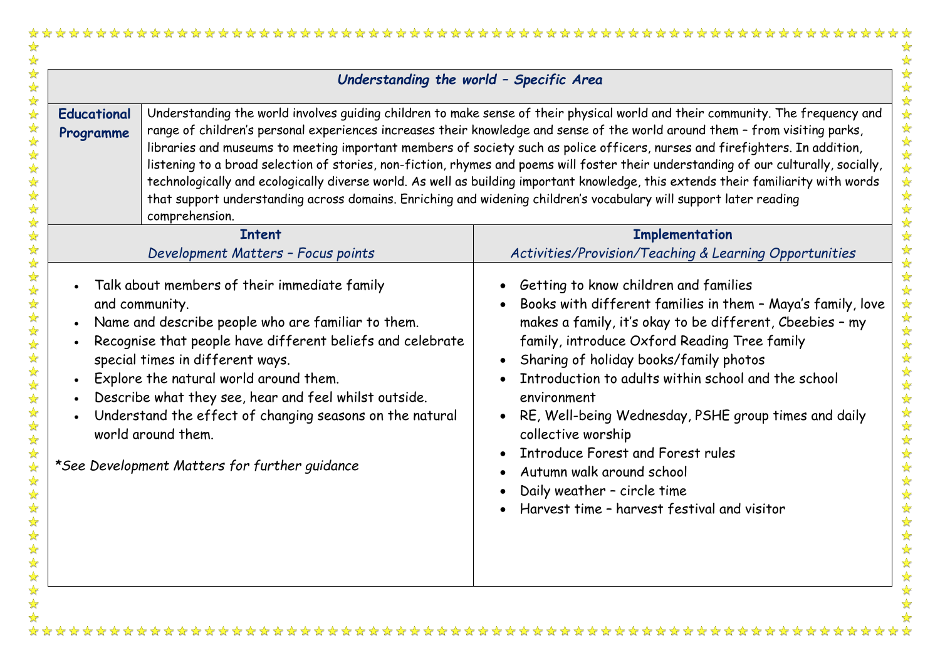| Understanding the world - Specific Area |                                                                                                                                                                                                                                                                                                                                                                                                                                                                                                                                                                                                                                                                                                                                                                                                                       |                                                                                                                                                                                                                                                                                                                                                                                                                                                                                                                                                                       |
|-----------------------------------------|-----------------------------------------------------------------------------------------------------------------------------------------------------------------------------------------------------------------------------------------------------------------------------------------------------------------------------------------------------------------------------------------------------------------------------------------------------------------------------------------------------------------------------------------------------------------------------------------------------------------------------------------------------------------------------------------------------------------------------------------------------------------------------------------------------------------------|-----------------------------------------------------------------------------------------------------------------------------------------------------------------------------------------------------------------------------------------------------------------------------------------------------------------------------------------------------------------------------------------------------------------------------------------------------------------------------------------------------------------------------------------------------------------------|
| <b>Educational</b><br>Programme         | Understanding the world involves guiding children to make sense of their physical world and their community. The frequency and<br>range of children's personal experiences increases their knowledge and sense of the world around them - from visiting parks,<br>libraries and museums to meeting important members of society such as police officers, nurses and firefighters. In addition,<br>listening to a broad selection of stories, non-fiction, rhymes and poems will foster their understanding of our culturally, socially,<br>technologically and ecologically diverse world. As well as building important knowledge, this extends their familiarity with words<br>that support understanding across domains. Enriching and widening children's vocabulary will support later reading<br>comprehension. |                                                                                                                                                                                                                                                                                                                                                                                                                                                                                                                                                                       |
|                                         | <b>Intent</b>                                                                                                                                                                                                                                                                                                                                                                                                                                                                                                                                                                                                                                                                                                                                                                                                         | <b>Implementation</b>                                                                                                                                                                                                                                                                                                                                                                                                                                                                                                                                                 |
|                                         | Development Matters - Focus points                                                                                                                                                                                                                                                                                                                                                                                                                                                                                                                                                                                                                                                                                                                                                                                    | Activities/Provision/Teaching & Learning Opportunities                                                                                                                                                                                                                                                                                                                                                                                                                                                                                                                |
|                                         | Talk about members of their immediate family<br>and community.<br>Name and describe people who are familiar to them.<br>Recognise that people have different beliefs and celebrate<br>special times in different ways.<br>Explore the natural world around them.<br>Describe what they see, hear and feel whilst outside.<br>Understand the effect of changing seasons on the natural<br>world around them.<br>*See Development Matters for further quidance                                                                                                                                                                                                                                                                                                                                                          | Getting to know children and families<br>Books with different families in them - Maya's family, love<br>makes a family, it's okay to be different, Cbeebies - my<br>family, introduce Oxford Reading Tree family<br>Sharing of holiday books/family photos<br>Introduction to adults within school and the school<br>environment<br>RE, Well-being Wednesday, PSHE group times and daily<br>collective worship<br><b>Introduce Forest and Forest rules</b><br>Autumn walk around school<br>Daily weather - circle time<br>Harvest time - harvest festival and visitor |